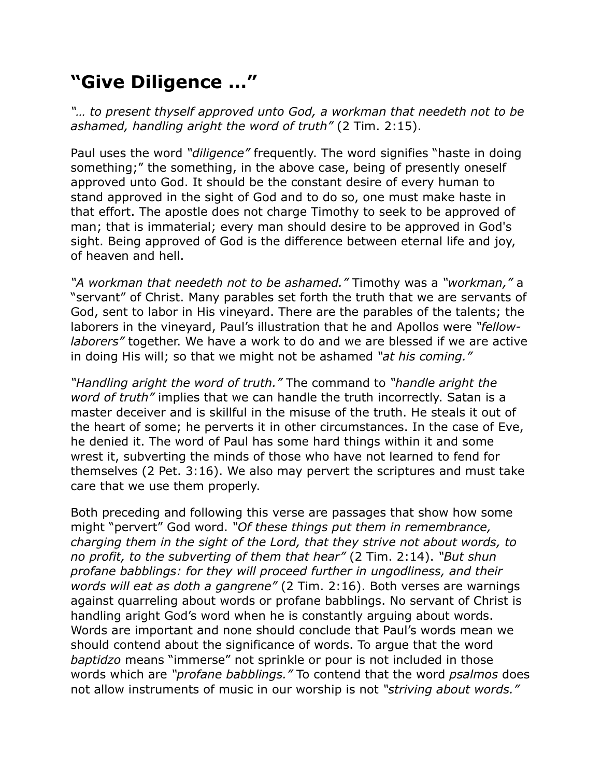## **"Give Diligence …"**

*"… to present thyself approved unto God, a workman that needeth not to be ashamed, handling aright the word of truth"* (2 Tim. 2:15).

Paul uses the word *"diligence"* frequently. The word signifies "haste in doing something;" the something, in the above case, being of presently oneself approved unto God. It should be the constant desire of every human to stand approved in the sight of God and to do so, one must make haste in that effort. The apostle does not charge Timothy to seek to be approved of man; that is immaterial; every man should desire to be approved in God's sight. Being approved of God is the difference between eternal life and joy, of heaven and hell.

*"A workman that needeth not to be ashamed."* Timothy was a *"workman,"* a "servant" of Christ. Many parables set forth the truth that we are servants of God, sent to labor in His vineyard. There are the parables of the talents; the laborers in the vineyard, Paul's illustration that he and Apollos were *"fellowlaborers"* together. We have a work to do and we are blessed if we are active in doing His will; so that we might not be ashamed *"at his coming."*

*"Handling aright the word of truth."* The command to *"handle aright the word of truth"* implies that we can handle the truth incorrectly. Satan is a master deceiver and is skillful in the misuse of the truth. He steals it out of the heart of some; he perverts it in other circumstances. In the case of Eve, he denied it. The word of Paul has some hard things within it and some wrest it, subverting the minds of those who have not learned to fend for themselves (2 Pet. 3:16). We also may pervert the scriptures and must take care that we use them properly.

Both preceding and following this verse are passages that show how some might "pervert" God word. *"Of these things put them in remembrance, charging them in the sight of the Lord, that they strive not about words, to no profit, to the subverting of them that hear"* (2 Tim. 2:14). *"But shun profane babblings: for they will proceed further in ungodliness, and their words will eat as doth a gangrene"* (2 Tim. 2:16). Both verses are warnings against quarreling about words or profane babblings. No servant of Christ is handling aright God's word when he is constantly arguing about words. Words are important and none should conclude that Paul's words mean we should contend about the significance of words. To argue that the word *baptidzo* means "immerse" not sprinkle or pour is not included in those words which are *"profane babblings."* To contend that the word *psalmos* does not allow instruments of music in our worship is not *"striving about words."*